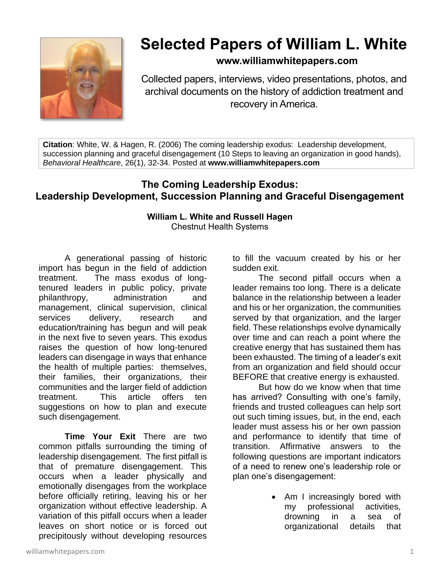

## **Selected Papers of William L. White**

## **www.williamwhitepapers.com**

Collected papers, interviews, video presentations, photos, and archival documents on the history of addiction treatment and recovery in America.

**Citation**: White, W. & Hagen, R. (2006) The coming leadership exodus: Leadership development, succession planning and graceful disengagement (10 Steps to leaving an organization in good hands), *Behavioral Healthcare*, 26(1), 32-34. Posted at **www.williamwhitepapers.com**

## **The Coming Leadership Exodus: Leadership Development, Succession Planning and Graceful Disengagement**

## **William L. White and Russell Hagen** Chestnut Health Systems

A generational passing of historic import has begun in the field of addiction treatment. The mass exodus of longtenured leaders in public policy, private philanthropy, administration and management, clinical supervision, clinical services delivery, research and education/training has begun and will peak in the next five to seven years. This exodus raises the question of how long-tenured leaders can disengage in ways that enhance the health of multiple parties: themselves, their families, their organizations, their communities and the larger field of addiction treatment. This article offers ten suggestions on how to plan and execute such disengagement.

**Time Your Exit** There are two common pitfalls surrounding the timing of leadership disengagement. The first pitfall is that of premature disengagement. This occurs when a leader physically and emotionally disengages from the workplace before officially retiring, leaving his or her organization without effective leadership. A variation of this pitfall occurs when a leader leaves on short notice or is forced out precipitously without developing resources

to fill the vacuum created by his or her sudden exit.

The second pitfall occurs when a leader remains too long. There is a delicate balance in the relationship between a leader and his or her organization, the communities served by that organization, and the larger field. These relationships evolve dynamically over time and can reach a point where the creative energy that has sustained them has been exhausted. The timing of a leader's exit from an organization and field should occur BEFORE that creative energy is exhausted.

But how do we know when that time has arrived? Consulting with one's family, friends and trusted colleagues can help sort out such timing issues, but, in the end, each leader must assess his or her own passion and performance to identify that time of transition. Affirmative answers to the following questions are important indicators of a need to renew one's leadership role or plan one's disengagement:

> • Am I increasingly bored with my professional activities, drowning in a sea of organizational details that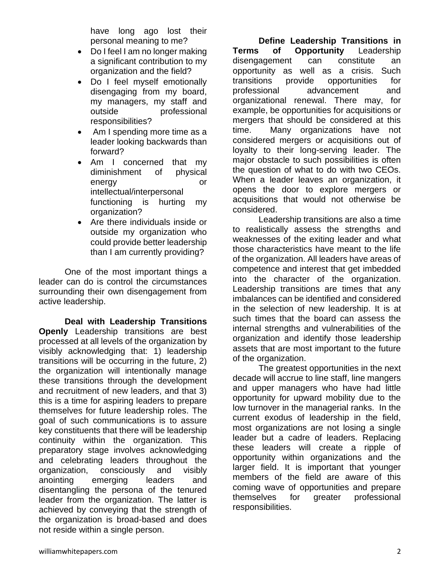have long ago lost their personal meaning to me?

- Do I feel I am no longer making a significant contribution to my organization and the field?
- Do I feel myself emotionally disengaging from my board, my managers, my staff and outside **professional** responsibilities?
- Am I spending more time as a leader looking backwards than forward?
- Am I concerned that my diminishment of physical energy or intellectual/interpersonal functioning is hurting my organization?
- Are there individuals inside or outside my organization who could provide better leadership than I am currently providing?

One of the most important things a leader can do is control the circumstances surrounding their own disengagement from active leadership.

**Deal with Leadership Transitions Openly** Leadership transitions are best processed at all levels of the organization by visibly acknowledging that: 1) leadership transitions will be occurring in the future, 2) the organization will intentionally manage these transitions through the development and recruitment of new leaders, and that 3) this is a time for aspiring leaders to prepare themselves for future leadership roles. The goal of such communications is to assure key constituents that there will be leadership continuity within the organization. This preparatory stage involves acknowledging and celebrating leaders throughout the organization, consciously and visibly anointing emerging leaders and disentangling the persona of the tenured leader from the organization. The latter is achieved by conveying that the strength of the organization is broad-based and does not reside within a single person.

**Define Leadership Transitions in Terms of Opportunity** Leadership disengagement can constitute an opportunity as well as a crisis. Such transitions provide opportunities for professional advancement and organizational renewal. There may, for example, be opportunities for acquisitions or mergers that should be considered at this time. Many organizations have not considered mergers or acquisitions out of loyalty to their long-serving leader. The major obstacle to such possibilities is often the question of what to do with two CEOs. When a leader leaves an organization, it opens the door to explore mergers or acquisitions that would not otherwise be considered.

Leadership transitions are also a time to realistically assess the strengths and weaknesses of the exiting leader and what those characteristics have meant to the life of the organization. All leaders have areas of competence and interest that get imbedded into the character of the organization. Leadership transitions are times that any imbalances can be identified and considered in the selection of new leadership. It is at such times that the board can assess the internal strengths and vulnerabilities of the organization and identify those leadership assets that are most important to the future of the organization.

The greatest opportunities in the next decade will accrue to line staff, line mangers and upper managers who have had little opportunity for upward mobility due to the low turnover in the managerial ranks. In the current exodus of leadership in the field, most organizations are not losing a single leader but a cadre of leaders. Replacing these leaders will create a ripple of opportunity within organizations and the larger field. It is important that younger members of the field are aware of this coming wave of opportunities and prepare themselves for greater professional responsibilities.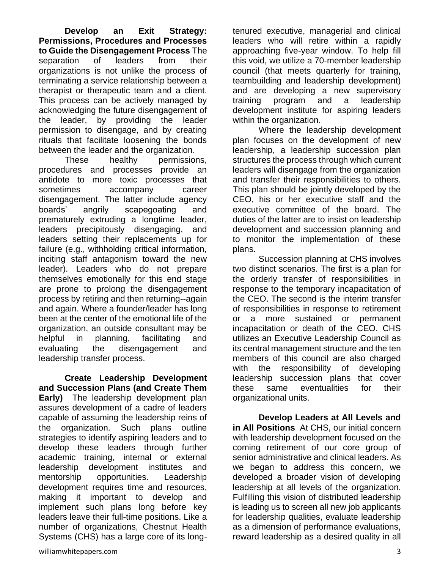**Develop an Exit Strategy: Permissions, Procedures and Processes to Guide the Disengagement Process** The separation of leaders from their organizations is not unlike the process of terminating a service relationship between a therapist or therapeutic team and a client. This process can be actively managed by acknowledging the future disengagement of the leader, by providing the leader permission to disengage, and by creating rituals that facilitate loosening the bonds between the leader and the organization.

These healthy permissions, procedures and processes provide an antidote to more toxic processes that sometimes accompany career disengagement. The latter include agency boards' angrily scapegoating and prematurely extruding a longtime leader, leaders precipitously disengaging, and leaders setting their replacements up for failure (e.g., withholding critical information, inciting staff antagonism toward the new leader). Leaders who do not prepare themselves emotionally for this end stage are prone to prolong the disengagement process by retiring and then returning--again and again. Where a founder/leader has long been at the center of the emotional life of the organization, an outside consultant may be helpful in planning, facilitating and evaluating the disengagement and leadership transfer process.

**Create Leadership Development and Succession Plans (and Create Them Early)** The leadership development plan assures development of a cadre of leaders capable of assuming the leadership reins of the organization. Such plans outline strategies to identify aspiring leaders and to develop these leaders through further academic training, internal or external leadership development institutes and mentorship opportunities. Leadership development requires time and resources, making it important to develop and implement such plans long before key leaders leave their full-time positions. Like a number of organizations, Chestnut Health Systems (CHS) has a large core of its longtenured executive, managerial and clinical leaders who will retire within a rapidly approaching five-year window. To help fill this void, we utilize a 70-member leadership council (that meets quarterly for training, teambuilding and leadership development) and are developing a new supervisory training program and a leadership development institute for aspiring leaders within the organization.

Where the leadership development plan focuses on the development of new leadership, a leadership succession plan structures the process through which current leaders will disengage from the organization and transfer their responsibilities to others. This plan should be jointly developed by the CEO, his or her executive staff and the executive committee of the board. The duties of the latter are to insist on leadership development and succession planning and to monitor the implementation of these plans.

Succession planning at CHS involves two distinct scenarios. The first is a plan for the orderly transfer of responsibilities in response to the temporary incapacitation of the CEO. The second is the interim transfer of responsibilities in response to retirement or a more sustained or permanent incapacitation or death of the CEO. CHS utilizes an Executive Leadership Council as its central management structure and the ten members of this council are also charged with the responsibility of developing leadership succession plans that cover these same eventualities for their organizational units.

**Develop Leaders at All Levels and in All Positions** At CHS, our initial concern with leadership development focused on the coming retirement of our core group of senior administrative and clinical leaders. As we began to address this concern, we developed a broader vision of developing leadership at all levels of the organization. Fulfilling this vision of distributed leadership is leading us to screen all new job applicants for leadership qualities, evaluate leadership as a dimension of performance evaluations, reward leadership as a desired quality in all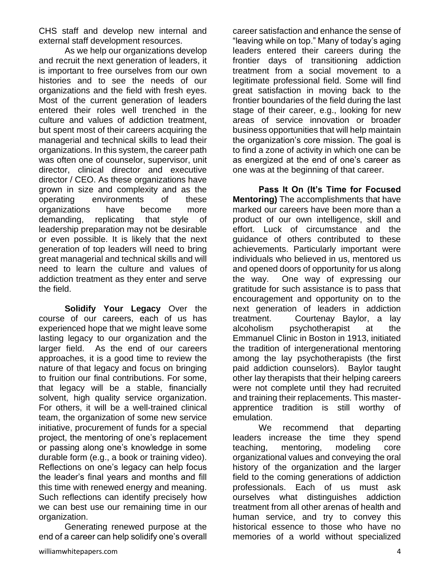CHS staff and develop new internal and external staff development resources.

As we help our organizations develop and recruit the next generation of leaders, it is important to free ourselves from our own histories and to see the needs of our organizations and the field with fresh eyes. Most of the current generation of leaders entered their roles well trenched in the culture and values of addiction treatment, but spent most of their careers acquiring the managerial and technical skills to lead their organizations. In this system, the career path was often one of counselor, supervisor, unit director, clinical director and executive director / CEO. As these organizations have grown in size and complexity and as the operating environments of these organizations have become more demanding, replicating that style of leadership preparation may not be desirable or even possible. It is likely that the next generation of top leaders will need to bring great managerial and technical skills and will need to learn the culture and values of addiction treatment as they enter and serve the field.

**Solidify Your Legacy** Over the course of our careers, each of us has experienced hope that we might leave some lasting legacy to our organization and the larger field. As the end of our careers approaches, it is a good time to review the nature of that legacy and focus on bringing to fruition our final contributions. For some, that legacy will be a stable, financially solvent, high quality service organization. For others, it will be a well-trained clinical team, the organization of some new service initiative, procurement of funds for a special project, the mentoring of one's replacement or passing along one's knowledge in some durable form (e.g., a book or training video). Reflections on one's legacy can help focus the leader's final years and months and fill this time with renewed energy and meaning. Such reflections can identify precisely how we can best use our remaining time in our organization.

Generating renewed purpose at the end of a career can help solidify one's overall career satisfaction and enhance the sense of "leaving while on top." Many of today's aging leaders entered their careers during the frontier days of transitioning addiction treatment from a social movement to a legitimate professional field. Some will find great satisfaction in moving back to the frontier boundaries of the field during the last stage of their career, e.g., looking for new areas of service innovation or broader business opportunities that will help maintain the organization's core mission. The goal is to find a zone of activity in which one can be as energized at the end of one's career as one was at the beginning of that career.

**Pass It On (It's Time for Focused Mentoring)** The accomplishments that have marked our careers have been more than a product of our own intelligence, skill and effort. Luck of circumstance and the guidance of others contributed to these achievements. Particularly important were individuals who believed in us, mentored us and opened doors of opportunity for us along the way. One way of expressing our gratitude for such assistance is to pass that encouragement and opportunity on to the next generation of leaders in addiction treatment. Courtenay Baylor, a lay alcoholism psychotherapist at the Emmanuel Clinic in Boston in 1913, initiated the tradition of intergenerational mentoring among the lay psychotherapists (the first paid addiction counselors). Baylor taught other lay therapists that their helping careers were not complete until they had recruited and training their replacements. This masterapprentice tradition is still worthy of emulation.

We recommend that departing leaders increase the time they spend teaching, mentoring, modeling core organizational values and conveying the oral history of the organization and the larger field to the coming generations of addiction professionals. Each of us must ask ourselves what distinguishes addiction treatment from all other arenas of health and human service, and try to convey this historical essence to those who have no memories of a world without specialized